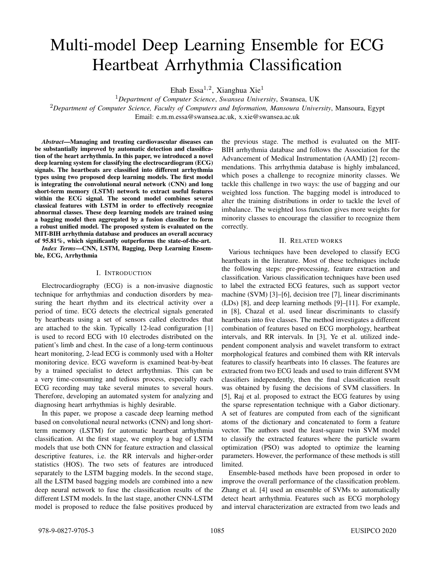# Multi-model Deep Learning Ensemble for ECG Heartbeat Arrhythmia Classification

Ehab Essa $^{1,2}$ , Xianghua Xie $^{1}$ 

<sup>1</sup>*Department of Computer Science*, *Swansea University*, Swansea, UK <sup>2</sup>*Department of Computer Science, Faculty of Computers and Information, Mansoura University*, Mansoura, Egypt Email: e.m.m.essa@swansea.ac.uk, x.xie@swansea.ac.uk

*Abstract*—Managing and treating cardiovascular diseases can be substantially improved by automatic detection and classification of the heart arrhythmia. In this paper, we introduced a novel deep learning system for classifying the electrocardiogram (ECG) signals. The heartbeats are classified into different arrhythmia types using two proposed deep learning models. The first model is integrating the convolutional neural network (CNN) and long short-term memory (LSTM) network to extract useful features within the ECG signal. The second model combines several classical features with LSTM in order to effectively recognize abnormal classes. These deep learning models are trained using a bagging model then aggregated by a fusion classifier to form a robust unified model. The proposed system is evaluated on the MIT-BIH arrhythmia database and produces an overall accuracy of 95.81%, which significantly outperforms the state-of-the-art.

*Index Terms*—CNN, LSTM, Bagging, Deep Learning Ensemble, ECG, Arrhythmia

#### I. INTRODUCTION

Electrocardiography (ECG) is a non-invasive diagnostic technique for arrhythmias and conduction disorders by measuring the heart rhythm and its electrical activity over a period of time. ECG detects the electrical signals generated by heartbeats using a set of sensors called electrodes that are attached to the skin. Typically 12-lead configuration [1] is used to record ECG with 10 electrodes distributed on the patient's limb and chest. In the case of a long-term continuous heart monitoring, 2-lead ECG is commonly used with a Holter monitoring device. ECG waveform is examined beat-by-beat by a trained specialist to detect arrhythmias. This can be a very time-consuming and tedious process, especially each ECG recording may take several minutes to several hours. Therefore, developing an automated system for analyzing and diagnosing heart arrhythmias is highly desirable.

In this paper, we propose a cascade deep learning method based on convolutional neural networks (CNN) and long shortterm memory (LSTM) for automatic heartbeat arrhythmia classification. At the first stage, we employ a bag of LSTM models that use both CNN for feature extraction and classical descriptive features, i.e. the RR intervals and higher-order statistics (HOS). The two sets of features are introduced separately to the LSTM bagging models. In the second stage, all the LSTM based bagging models are combined into a new deep neural network to fuse the classification results of the different LSTM models. In the last stage, another CNN-LSTM model is proposed to reduce the false positives produced by

the previous stage. The method is evaluated on the MIT-BIH arrhythmia database and follows the Association for the Advancement of Medical Instrumentation (AAMI) [2] recommendations. This arrhythmia database is highly imbalanced, which poses a challenge to recognize minority classes. We tackle this challenge in two ways: the use of bagging and our weighted loss function. The bagging model is introduced to alter the training distributions in order to tackle the level of imbalance. The weighted loss function gives more weights for minority classes to encourage the classifier to recognize them correctly.

## II. RELATED WORKS

Various techniques have been developed to classify ECG heartbeats in the literature. Most of these techniques include the following steps: pre-processing, feature extraction and classification. Various classification techniques have been used to label the extracted ECG features, such as support vector machine (SVM) [3]–[6], decision tree [7], linear discriminants (LDs) [8], and deep learning methods [9]–[11]. For example, in [8], Chazal et al. used linear discriminants to classify heartbeats into five classes. The method investigates a different combination of features based on ECG morphology, heartbeat intervals, and RR intervals. In [3], Ye et al. utilized independent component analysis and wavelet transform to extract morphological features and combined them with RR intervals features to classify heartbeats into 16 classes. The features are extracted from two ECG leads and used to train different SVM classifiers independently, then the final classification result was obtained by fusing the decisions of SVM classifiers. In [5], Raj et al. proposed to extract the ECG features by using the sparse representation technique with a Gabor dictionary. A set of features are computed from each of the significant atoms of the dictionary and concatenated to form a feature vector. The authors used the least-square twin SVM model to classify the extracted features where the particle swarm optimization (PSO) was adopted to optimize the learning parameters. However, the performance of these methods is still limited.

Ensemble-based methods have been proposed in order to improve the overall performance of the classification problem. Zhang et al. [4] used an ensemble of SVMs to automatically detect heart arrhythmia. Features such as ECG morphology and interval characterization are extracted from two leads and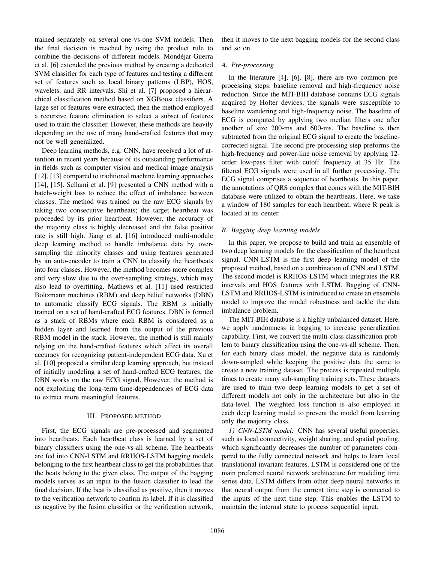trained separately on several one-vs-one SVM models. Then the final decision is reached by using the product rule to combine the decisions of different models. Mondejar-Guerra ´ et al. [6] extended the previous method by creating a dedicated SVM classifier for each type of features and testing a different set of features such as local binary patterns (LBP), HOS, wavelets, and RR intervals. Shi et al. [7] proposed a hierarchical classification method based on XGBoost classifiers. A large set of features were extracted, then the method employed a recursive feature elimination to select a subset of features used to train the classifier. However, these methods are heavily depending on the use of many hand-crafted features that may not be well generalized.

Deep learning methods, e.g. CNN, have received a lot of attention in recent years because of its outstanding performance in fields such as computer vision and medical image analysis [12], [13] compared to traditional machine learning approaches [14], [15]. Sellami et al. [9] presented a CNN method with a batch-weight loss to reduce the effect of imbalance between classes. The method was trained on the raw ECG signals by taking two consecutive heartbeats; the target heartbeat was proceeded by its prior heartbeat. However, the accuracy of the majority class is highly decreased and the false positive rate is still high. Jiang et al. [16] introduced multi-module deep learning method to handle imbalance data by oversampling the minority classes and using features generated by an auto-encoder to train a CNN to classify the heartbeats into four classes. However, the method becomes more complex and very slow due to the over-sampling strategy, which may also lead to overfitting. Mathews et al. [11] used restricted Boltzmann machines (RBM) and deep belief networks (DBN) to automatic classify ECG signals. The RBM is initially trained on a set of hand-crafted ECG features. DBN is formed as a stack of RBMs where each RBM is considered as a hidden layer and learned from the output of the previous RBM model in the stack. However, the method is still mainly relying on the hand-crafted features which affect its overall accuracy for recognizing patient-independent ECG data. Xu et al. [10] proposed a similar deep learning approach, but instead of initially modeling a set of hand-crafted ECG features, the DBN works on the raw ECG signal. However, the method is not exploiting the long-term time-dependencies of ECG data to extract more meaningful features.

## III. PROPOSED METHOD

First, the ECG signals are pre-processed and segmented into heartbeats. Each heartbeat class is learned by a set of binary classifiers using the one-vs-all scheme. The heartbeats are fed into CNN-LSTM and RRHOS-LSTM bagging models belonging to the first heartbeat class to get the probabilities that the beats belong to the given class. The output of the bagging models serves as an input to the fusion classifier to lead the final decision. If the beat is classified as positive, then it moves to the verification network to confirm its label. If it is classified as negative by the fusion classifier or the verification network,

then it moves to the next bagging models for the second class and so on.

# *A. Pre-processing*

In the literature [4], [6], [8], there are two common preprocessing steps: baseline removal and high-frequency noise reduction. Since the MIT-BIH database contains ECG signals acquired by Holter devices, the signals were susceptible to baseline wandering and high-frequency noise. The baseline of ECG is computed by applying two median filters one after another of size 200-ms and 600-ms. The baseline is then subtracted from the original ECG signal to create the baselinecorrected signal. The second pre-processing step preforms the high-frequency and power-line noise removal by applying 12order low-pass filter with cutoff frequency at 35 Hz. The filtered ECG signals were used in all further processing. The ECG signal comprises a sequence of heartbeats. In this paper, the annotations of QRS complex that comes with the MIT-BIH database were utilized to obtain the heartbeats. Here, we take a window of 180 samples for each heartbeat, where R peak is located at its center.

## *B. Bagging deep learning models*

In this paper, we propose to build and train an ensemble of two deep learning models for the classification of the heartbeat signal. CNN-LSTM is the first deep learning model of the proposed method, based on a combination of CNN and LSTM. The second model is RRHOS-LSTM which integrates the RR intervals and HOS features with LSTM. Bagging of CNN-LSTM and RRHOS-LSTM is introduced to create an ensemble model to improve the model robustness and tackle the data imbalance problem.

The MIT-BIH database is a highly unbalanced dataset. Here, we apply randomness in bagging to increase generalization capability. First, we convert the multi-class classification problem to binary classification using the one-vs-all scheme. Then, for each binary class model, the negative data is randomly down-sampled while keeping the positive data the same to create a new training dataset. The process is repeated multiple times to create many sub-sampling training sets. These datasets are used to train two deep learning models to get a set of different models not only in the architecture but also in the data-level. The weighted loss function is also employed in each deep learning model to prevent the model from learning only the majority class.

*1) CNN-LSTM model:* CNN has several useful properties, such as local connectivity, weight sharing, and spatial pooling, which significantly decreases the number of parameters compared to the fully connected network and helps to learn local translational invariant features. LSTM is considered one of the main preferred neural network architecture for modeling time series data. LSTM differs from other deep neural networks in that neural output from the current time step is connected to the inputs of the next time step. This enables the LSTM to maintain the internal state to process sequential input.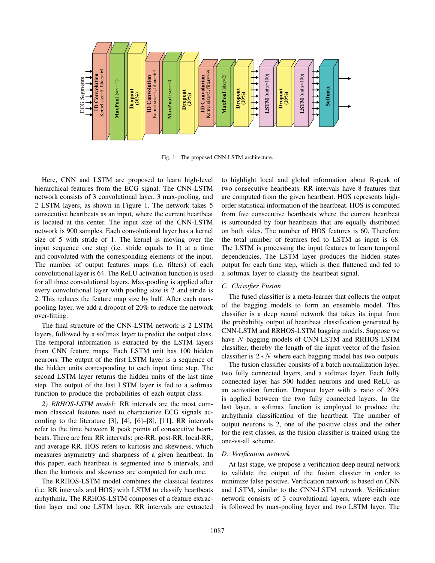

Fig. 1. The proposed CNN-LSTM architecture.

Here, CNN and LSTM are proposed to learn high-level hierarchical features from the ECG signal. The CNN-LSTM network consists of 3 convolutional layer, 3 max-pooling, and 2 LSTM layers, as shown in Figure 1. The network takes 5 consecutive heartbeats as an input, where the current heartbeat is located at the center. The input size of the CNN-LSTM network is 900 samples. Each convolutional layer has a kernel size of 5 with stride of 1. The kernel is moving over the input sequence one step (i.e. stride equals to 1) at a time and convoluted with the corresponding elements of the input. The number of output features maps (i.e. filters) of each convolutional layer is 64. The ReLU activation function is used for all three convolutional layers. Max-pooling is applied after every convolutional layer with pooling size is 2 and stride is 2. This reduces the feature map size by half. After each maxpooling layer, we add a dropout of 20% to reduce the network over-fitting.

The final structure of the CNN-LSTM network is 2 LSTM layers, followed by a softmax layer to predict the output class. The temporal information is extracted by the LSTM layers from CNN feature maps. Each LSTM unit has 100 hidden neurons. The output of the first LSTM layer is a sequence of the hidden units corresponding to each input time step. The second LSTM layer returns the hidden units of the last time step. The output of the last LSTM layer is fed to a softmax function to produce the probabilities of each output class.

*2) RRHOS-LSTM model:* RR intervals are the most common classical features used to characterize ECG signals according to the literature [3], [4], [6]–[8], [11]. RR intervals refer to the time between R peak points of consecutive heartbeats. There are four RR intervals: pre-RR, post-RR, local-RR, and average-RR. HOS refers to kurtosis and skewness, which measures asymmetry and sharpness of a given heartbeat. In this paper, each heartbeat is segmented into 6 intervals, and then the kurtosis and skewness are computed for each one.

The RRHOS-LSTM model combines the classical features (i.e. RR intervals and HOS) with LSTM to classify heartbeats arrhythmia. The RRHOS-LSTM composes of a feature extraction layer and one LSTM layer. RR intervals are extracted to highlight local and global information about R-peak of two consecutive heartbeats. RR intervals have 8 features that are computed from the given heartbeat. HOS represents highorder statistical information of the heartbeat. HOS is computed from five consecutive heartbeats where the current heartbeat is surrounded by four heartbeats that are equally distributed on both sides. The number of HOS features is 60. Therefore the total number of features fed to LSTM as input is 68. The LSTM is processing the input features to learn temporal dependencies. The LSTM layer produces the hidden states output for each time step, which is then flattened and fed to a softmax layer to classify the heartbeat signal.

#### *C. Classifier Fusion*

The fused classifier is a meta-learner that collects the output of the bagging models to form an ensemble model. This classifier is a deep neural network that takes its input from the probability output of heartbeat classification generated by CNN-LSTM and RRHOS-LSTM bagging models. Suppose we have N bagging models of CNN-LSTM and RRHOS-LSTM classifier, thereby the length of the input vector of the fusion classifier is  $2*N$  where each bagging model has two outputs.

The fusion classifier consists of a batch normalization layer, two fully connected layers, and a softmax layer. Each fully connected layer has 500 hidden neurons and used ReLU as an activation function. Dropout layer with a ratio of 20% is applied between the two fully connected layers. In the last layer, a softmax function is employed to produce the arrhythmia classification of the heartbeat. The number of output neurons is 2, one of the positive class and the other for the rest classes, as the fusion classifier is trained using the one-vs-all scheme.

## *D. Verification network*

At last stage, we propose a verification deep neural network to validate the output of the fusion classier in order to minimize false positive. Verification network is based on CNN and LSTM, similar to the CNN-LSTM network. Verification network consists of 3 convolutional layers, where each one is followed by max-pooling layer and two LSTM layer. The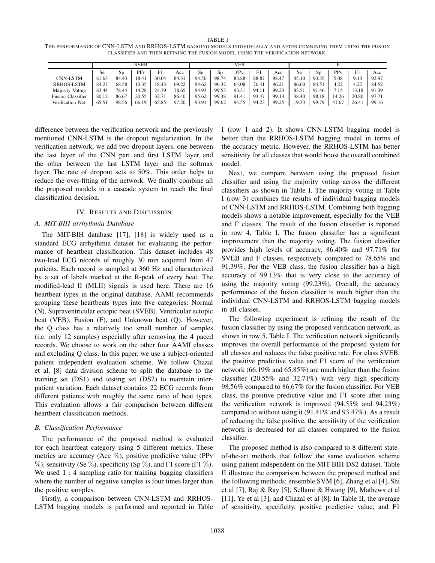TABLE I THE PERFORMANCE OF CNN-LSTM AND RRHOS-LSTM BAGGING MODELS INDIVIDUALLY AND AFTER COMBINING THEM USING THE FUSION CLASSIFIER AND THEN REFINING THE FUSION MODEL USING THE VERIFICATION NETWORK.

|                          | <b>SVEB</b> |       |                         |       | VEB   |       |       |       |                   |       |       |            |                 |       |       |
|--------------------------|-------------|-------|-------------------------|-------|-------|-------|-------|-------|-------------------|-------|-------|------------|-----------------|-------|-------|
|                          | <b>Se</b>   | Sp    | $\overline{\text{PPv}}$ | F1    | Acc   | Se    | Sp    | PPv   | F1                | Acc   | Se    | Sp         | PP <sub>v</sub> | F1    | Acc   |
| <b>CNN-LSTM</b>          | 81.63       | 84.43 | 18.41                   | 30.04 | 84.31 | 94.50 | 98.74 | 83.88 | 88.87             | 98.47 | 45.10 | 93.35      | 5.08            | 9.13  | 92.97 |
| <b>RRHOS-LSTM</b>        | 84.27       | 68.58 | 10.35                   | 18.43 | 69.22 | 94.62 | 96.32 | 64.08 | 76.41             | 96.21 | 86.60 | 84.51      | 4.22            | 4.22  | 84.52 |
| Voting<br>Majority       | 83.44       | 78.44 | 4.28                    | 24.39 | 78.65 | 94.93 | 99.53 | 93.31 | 94.1 <sub>1</sub> | 99.23 | 83.51 | 1.46<br>91 | 7.15            | 13.18 | 91.39 |
| <b>Fusion Classifier</b> | 80.12       | 86.67 | 20.55                   | 32.71 | 86.40 | 95.62 | 99.38 | 91.41 | 93.47             | 99.13 | 38.40 | 98.18      | 14.26           | 20.80 | 97.71 |
| Verification Net.        | 65.51       | 98.56 | 66.19                   | 65.85 | 97.20 | 93.91 | 99.62 | 94.55 | 94.23             | 99.25 | 19.33 | 99.79      | 41.67           | 26.41 | 99.16 |

difference between the verification network and the previously mentioned CNN-LSTM is the dropout regularization. In the verification network, we add two dropout layers, one between the last layer of the CNN part and first LSTM layer and the other between the last LSTM layer and the softmax layer. The rate of dropout sets to 50%. This order helps to reduce the over-fitting of the network. We finally combine all the proposed models in a cascade system to reach the final classification decision.

#### IV. RESULTS AND DISCUSSION

## *A. MIT-BIH arrhythmia Database*

The MIT-BIH database [17], [18] is widely used as a standard ECG arrhythmia dataset for evaluating the performance of heartbeat classification. This dataset includes 48 two-lead ECG records of roughly 30 min acquired from 47 patients. Each record is sampled at 360 Hz and characterized by a set of labels marked at the R-peak of every beat. The modified-lead II (MLII) signals is used here. There are 16 heartbeat types in the original database. AAMI recommends grouping these heartbeats types into five categories: Normal (N), Supraventricular ectopic beat (SVEB), Ventricular ectopic beat (VEB), Fusion (F), and Unknown beat (Q). However, the Q class has a relatively too small number of samples (i.e. only 12 samples) especially after removing the 4 paced records. We choose to work on the other four AAMI classes and excluding Q class. In this paper, we use a subject-oriented patient independent evaluation scheme. We follow Chazal et al. [8] data division scheme to split the database to the training set (DS1) and testing set (DS2) to maintain interpatient variation. Each dataset contains 22 ECG records from different patients with roughly the same ratio of beat types. This evaluation allows a fair comparison between different heartbeat classification methods.

#### *B. Classification Performance*

The performance of the proposed method is evaluated for each heartbeat category using 5 different metrics. These metrics are accuracy (Acc  $\%$ ), positive predictive value (PPv  $\%$ ), sensitivity (Se  $\%$ ), specificity (Sp  $\%$ ), and F1 score (F1  $\%$ ). We used  $1:4$  sampling ratio for training bagging classifiers where the number of negative samples is four times larger than the positive samples.

Firstly, a comparison between CNN-LSTM and RRHOS-LSTM bagging models is performed and reported in Table I (row 1 and 2). It shows CNN-LSTM bagging model is better than the RRHOS-LSTM bagging model in terms of the accuracy metric. However, the RRHOS-LSTM has better sensitivity for all classes that would boost the overall combined model.

Next, we compare between using the proposed fusion classifier and using the majority voting across the different classifiers as shown in Table I. The majority voting in Table I (row 3) combines the results of individual bagging models of CNN-LSTM and RRHOS-LSTM. Combining both bagging models shows a notable improvement, especially for the VEB and F classes. The result of the fusion classifier is reported in row 4, Table I. The fusion classifier has a significant improvement than the majority voting. The fusion classifier provides high levels of accuracy, 86.40% and 97.71% for SVEB and F classes, respectively compared to 78.65% and 91.39%. For the VEB class, the fusion classifier has a high accuracy of 99.13% that is very close to the accuracy of using the majority voting (99.23%). Overall, the accuracy performance of the fusion classifier is much higher than the individual CNN-LSTM and RRHOS-LSTM bagging models in all classes.

The following experiment is refining the result of the fusion classifier by using the proposed verification network, as shown in row 5, Table I. The verification network significantly improves the overall performance of the proposed system for all classes and reduces the false positive rate. For class SVEB, the positive predictive value and F1 score of the verification network (66.19% and 65.85%) are much higher than the fusion classifier (20.55% and 32.71%) with very high specificity 98.56% compared to 86.67% for the fusion classifier. For VEB class, the positive predictive value and F1 score after using the verification network is improved (94.55% and 94.23%) compared to without using it (91.41% and 93.47%). As a result of reducing the false positive, the sensitivity of the verification network is decreased for all classes compared to the fusion classifier.

The proposed method is also compared to 8 different stateof-the-art methods that follow the same evaluation scheme using patient independent on the MIT-BIH DS2 dataset. Table II illustrate the comparison between the proposed method and the following methods: ensemble SVM [6], Zhang et al [4], Shi et al [7], Raj & Ray [5], Sellami & Hwang [9], Mathews et al [11], Ye et al [3], and Chazal et al [8]. In Table II, the average of sensitivity, specificity, positive predictive value, and F1